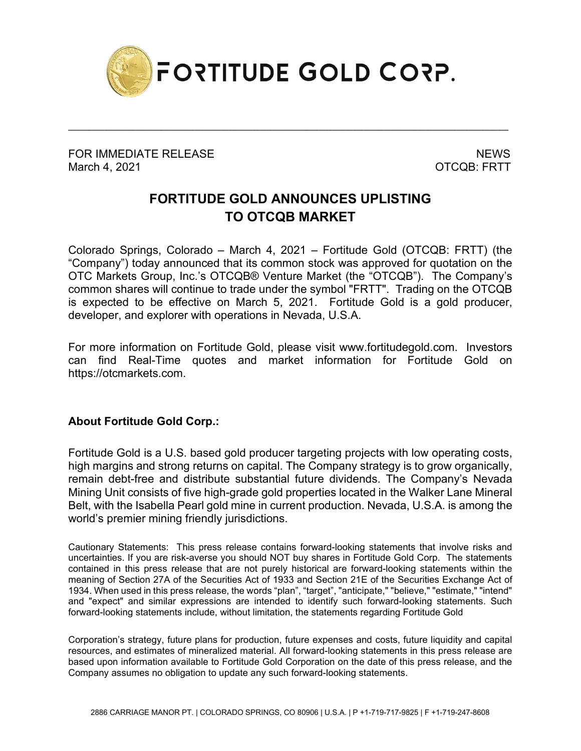

\_\_\_\_\_\_\_\_\_\_\_\_\_\_\_\_\_\_\_\_\_\_\_\_\_\_\_\_\_\_\_\_\_\_\_\_\_\_\_\_\_\_\_\_\_\_\_\_\_\_\_\_\_\_\_\_\_\_\_\_\_\_\_\_\_\_\_\_\_\_\_\_\_\_\_\_\_\_\_\_\_\_\_\_\_

FOR IMMEDIATE RELEASE NEWS ARE A SERIES OF A SERIES OF A SERIES OF A SERIES OF A SERIES OF A SERIES OF A SERIES March 4, 2021 **OTCQB: FRTT** 

## **FORTITUDE GOLD ANNOUNCES UPLISTING TO OTCQB MARKET**

Colorado Springs, Colorado – March 4, 2021 – Fortitude Gold (OTCQB: FRTT) (the "Company") today announced that its common stock was approved for quotation on the OTC Markets Group, Inc.'s OTCQB® Venture Market (the "OTCQB"). The Company's common shares will continue to trade under the symbol "FRTT". Trading on the OTCQB is expected to be effective on March 5, 2021. Fortitude Gold is a gold producer, developer, and explorer with operations in Nevada, U.S.A.

For more information on Fortitude Gold, please visit www.fortitudegold.com. Investors can find Real-Time quotes and market information for Fortitude Gold on https://otcmarkets.com.

## **About Fortitude Gold Corp.:**

Fortitude Gold is a U.S. based gold producer targeting projects with low operating costs, high margins and strong returns on capital. The Company strategy is to grow organically, remain debt-free and distribute substantial future dividends. The Company's Nevada Mining Unit consists of five high-grade gold properties located in the Walker Lane Mineral Belt, with the Isabella Pearl gold mine in current production. Nevada, U.S.A. is among the world's premier mining friendly jurisdictions.

Cautionary Statements: This press release contains forward-looking statements that involve risks and uncertainties. If you are risk-averse you should NOT buy shares in Fortitude Gold Corp. The statements contained in this press release that are not purely historical are forward-looking statements within the meaning of Section 27A of the Securities Act of 1933 and Section 21E of the Securities Exchange Act of 1934. When used in this press release, the words "plan", "target", "anticipate," "believe," "estimate," "intend" and "expect" and similar expressions are intended to identify such forward-looking statements. Such forward-looking statements include, without limitation, the statements regarding Fortitude Gold

Corporation's strategy, future plans for production, future expenses and costs, future liquidity and capital resources, and estimates of mineralized material. All forward-looking statements in this press release are based upon information available to Fortitude Gold Corporation on the date of this press release, and the Company assumes no obligation to update any such forward-looking statements.